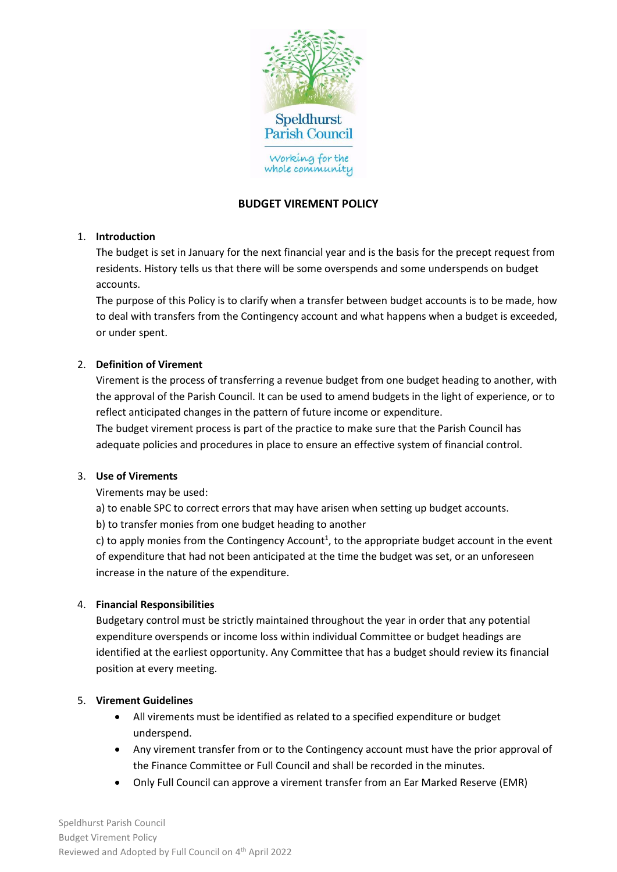

# **BUDGET VIREMENT POLICY**

#### 1. **Introduction**

The budget is set in January for the next financial year and is the basis for the precept request from residents. History tells us that there will be some overspends and some underspends on budget accounts.

The purpose of this Policy is to clarify when a transfer between budget accounts is to be made, how to deal with transfers from the Contingency account and what happens when a budget is exceeded, or under spent.

## 2. **Definition of Virement**

Virement is the process of transferring a revenue budget from one budget heading to another, with the approval of the Parish Council. It can be used to amend budgets in the light of experience, or to reflect anticipated changes in the pattern of future income or expenditure.

The budget virement process is part of the practice to make sure that the Parish Council has adequate policies and procedures in place to ensure an effective system of financial control.

#### 3. **Use of Virements**

Virements may be used:

a) to enable SPC to correct errors that may have arisen when setting up budget accounts.

b) to transfer monies from one budget heading to another

c) to apply monies from the Contingency Account<sup>1</sup>, to the appropriate budget account in the event of expenditure that had not been anticipated at the time the budget was set, or an unforeseen increase in the nature of the expenditure.

#### 4. **Financial Responsibilities**

Budgetary control must be strictly maintained throughout the year in order that any potential expenditure overspends or income loss within individual Committee or budget headings are identified at the earliest opportunity. Any Committee that has a budget should review its financial position at every meeting.

#### 5. **Virement Guidelines**

- All virements must be identified as related to a specified expenditure or budget underspend.
- Any virement transfer from or to the Contingency account must have the prior approval of the Finance Committee or Full Council and shall be recorded in the minutes.
- Only Full Council can approve a virement transfer from an Ear Marked Reserve (EMR)